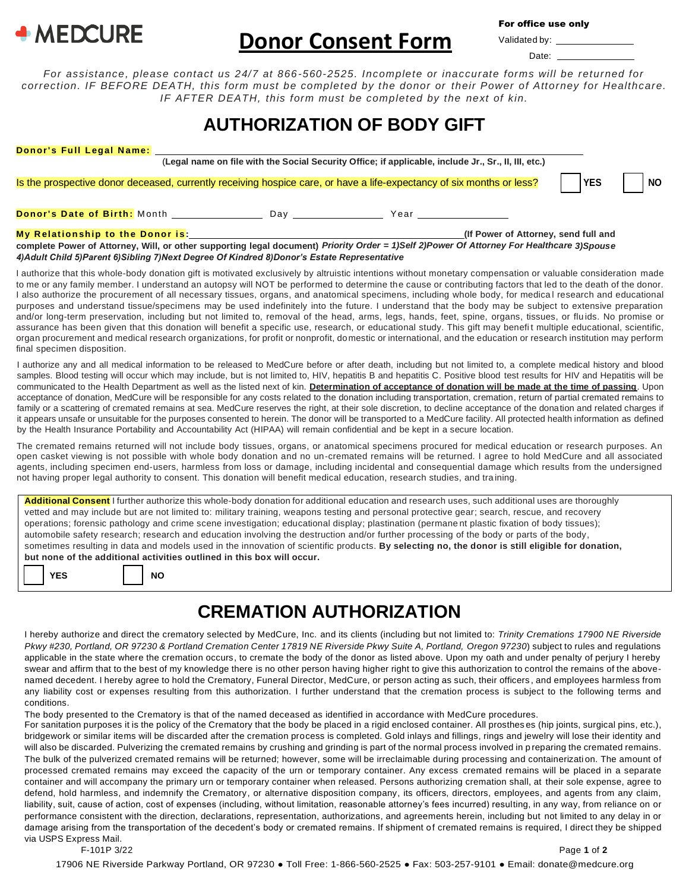

## **Donor Consent Form** Valida

For office use only

| idated by: |  |
|------------|--|
| Date:      |  |

*For assistance, please contact us 24/7 at 866-560-2525. Incomplete or inaccurate forms will be returned for correction. IF BEFORE DEATH, this form must be completed by the donor or their Power of Attorney for Healthcare. IF AFTER DEATH, this form must be completed by the next of kin.*

## **AUTHORIZATION OF BODY GIFT**

| <b>Donor's Full Legal Name:</b>                                                                                                           |  |                                                                                                      |     |           |
|-------------------------------------------------------------------------------------------------------------------------------------------|--|------------------------------------------------------------------------------------------------------|-----|-----------|
|                                                                                                                                           |  | (Legal name on file with the Social Security Office; if applicable, include Jr., Sr., II, III, etc.) |     |           |
| Is the prospective donor deceased, currently receiving hospice care, or have a life-expectancy of six months or less?                     |  |                                                                                                      | YES | <b>NO</b> |
|                                                                                                                                           |  |                                                                                                      |     |           |
| complete Power of Attorney, Will, or other supporting legal document) Priority Order = 1)Self 2)Power Of Attorney For Healthcare 3)Spouse |  | (If Power of Attorney, send full and                                                                 |     |           |

*4)Adult Child 5)Parent 6)Sibling 7)Next Degree Of Kindred 8)Donor's Estate Representative*

I authorize that this whole-body donation gift is motivated exclusively by altruistic intentions without monetary compensation or valuable consideration made to me or any family member. I understand an autopsy will NOT be performed to determine the cause or contributing factors that led to the death of the donor. I also authorize the procurement of all necessary tissues, organs, and anatomical specimens, including whole body, for medica l research and educational purposes and understand tissue/specimens may be used indefinitely into the future. I understand that the body may be subject to extensive preparation and/or long-term preservation, including but not limited to, removal of the head, arms, legs, hands, feet, spine, organs, tissues, or flu ids. No promise or assurance has been given that this donation will benefit a specific use, research, or educational study. This gift may benefit multiple educational, scientific, organ procurement and medical research organizations, for profit or nonprofit, domestic or international, and the education or research institution may perform final specimen disposition.

I authorize any and all medical information to be released to MedCure before or after death, including but not limited to, a complete medical history and blood samples. Blood testing will occur which may include, but is not limited to, HIV, hepatitis B and hepatitis C. Positive blood test results for HIV and Hepatitis will be communicated to the Health Department as well as the listed next of kin. **Determination of acceptance of donation will be made at the time of passing**. Upon acceptance of donation, MedCure will be responsible for any costs related to the donation including transportation, cremation, return of partial cremated remains to family or a scattering of cremated remains at sea. MedCure reserves the right, at their sole discretion, to decline acceptance of the donation and related charges if it appears unsafe or unsuitable for the purposes consented to herein. The donor will be transported to a MedCure facility. All protected health information as defined by the Health Insurance Portability and Accountability Act (HIPAA) will remain confidential and be kept in a secure location.

The cremated remains returned will not include body tissues, organs, or anatomical specimens procured for medical education or research purposes. An open casket viewing is not possible with whole body donation and no un-cremated remains will be returned. I agree to hold MedCure and all associated agents, including specimen end-users, harmless from loss or damage, including incidental and consequential damage which results from the undersigned not having proper legal authority to consent. This donation will benefit medical education, research studies, and tra ining.

**Additional Consent** I further authorize this whole-body donation for additional education and research uses, such additional uses are thoroughly vetted and may include but are not limited to: military training, weapons testing and personal protective gear; search, rescue, and recovery operations; forensic pathology and crime scene investigation; educational display; plastination (permane nt plastic fixation of body tissues); automobile safety research; research and education involving the destruction and/or further processing of the body or parts of the body, sometimes resulting in data and models used in the innovation of scientific products. **By selecting no, the donor is still eligible for donation, but none of the additional activities outlined in this box will occur.**

## **CREMATION AUTHORIZATION**

I hereby authorize and direct the crematory selected by MedCure, Inc. and its clients (including but not limited to: *Trinity Cremations 17900 NE Riverside Pkwy #230, Portland, OR 97230 & Portland Cremation Center 17819 NE Riverside Pkwy Suite A, Portland, Oregon 97230*) subject to rules and regulations applicable in the state where the cremation occurs, to cremate the body of the donor as listed above. Upon my oath and under penalty of perjury I hereby swear and affirm that to the best of my knowledge there is no other person having higher right to give this authorization to control the remains of the abovenamed decedent. I hereby agree to hold the Crematory, Funeral Director, MedCure, or person acting as such, their officers , and employees harmless from any liability cost or expenses resulting from this authorization. I further understand that the cremation process is subject to the following terms and conditions.

The body presented to the Crematory is that of the named deceased as identified in accordance with MedCure procedures.

For sanitation purposes it is the policy of the Crematory that the body be placed in a rigid enclosed container. All prosthes es (hip joints, surgical pins, etc.), bridgework or similar items will be discarded after the cremation process is completed. Gold inlays and fillings, rings and jewelry will lose their identity and will also be discarded. Pulverizing the cremated remains by crushing and grinding is part of the normal process involved in p reparing the cremated remains. The bulk of the pulverized cremated remains will be returned; however, some will be irreclaimable during processing and containerization. The amount of processed cremated remains may exceed the capacity of the urn or temporary container. Any excess cremated remains will be placed in a separate container and will accompany the primary urn or temporary container when released. Persons authorizing cremation shall, at their sole expense, agree to defend, hold harmless, and indemnify the Crematory, or alternative disposition company, its officers, directors, employees, and agents from any claim, liability, suit, cause of action, cost of expenses (including, without limitation, reasonable attorney's fees incurred) resulting, in any way, from reliance on or performance consistent with the direction, declarations, representation, authorizations, and agreements herein, including but not limited to any delay in or damage arising from the transportation of the decedent's body or cremated remains. If shipment of cremated remains is required, I direct they be shipped via USPS Express Mail.